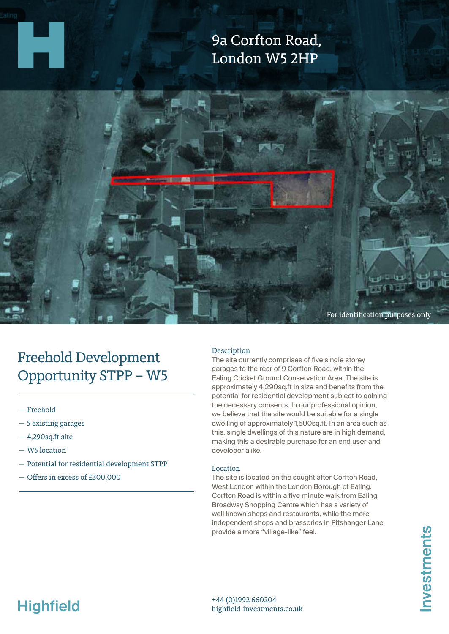### 9a Corfton Road, London W5 2HP



## Freehold Development Opportunity STPP – W5

- Freehold
- 5 existing garages
- 4,290sq.ft site
- W5 location
- Potential for residential development STPP
- Offers in excess of £300,000

#### Description

The site currently comprises of five single storey garages to the rear of 9 Corfton Road, within the Ealing Cricket Ground Conservation Area. The site is approximately 4,290sq.ft in size and benefits from the potential for residential development subject to gaining the necessary consents. In our professional opinion, we believe that the site would be suitable for a single dwelling of approximately 1,500sq.ft. In an area such as this, single dwellings of this nature are in high demand, making this a desirable purchase for an end user and developer alike.

#### Location

The site is located on the sought after Corfton Road, West London within the London Borough of Ealing. Corfton Road is within a five minute walk from Ealing Broadway Shopping Centre which has a variety of well known shops and restaurants, while the more independent shops and brasseries in Pitshanger Lane provide a more "village-like" feel.

# **Highfield**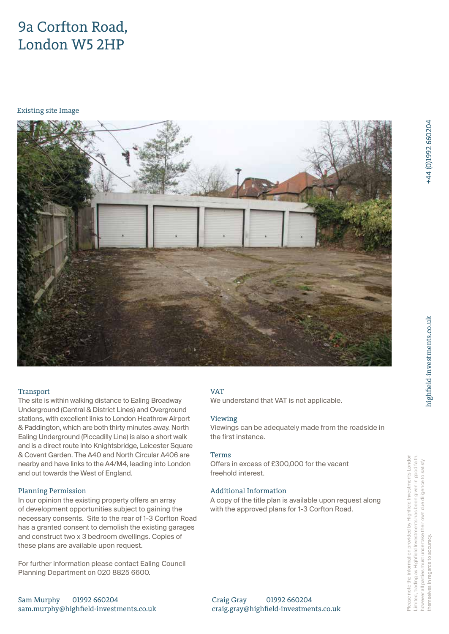### 9a Corfton Road, London W5 2HP

Existing site Image



#### **Transport**

The site is within walking distance to Ealing Broadway Underground (Central & District Lines) and Overground stations, with excellent links to London Heathrow Airport & Paddington, which are both thirty minutes away. North Ealing Underground (Piccadilly Line) is also a short walk and is a direct route into Knightsbridge, Leicester Square & Covent Garden. The A40 and North Circular A406 are nearby and have links to the A4/M4, leading into London and out towards the West of England.

#### Planning Permission

In our opinion the existing property offers an array of development opportunities subject to gaining the necessary consents. Site to the rear of 1-3 Corfton Road has a granted consent to demolish the existing garages and construct two x 3 bedroom dwellings. Copies of these plans are available upon request.

For further information please contact Ealing Council Planning Department on 020 8825 6600.

#### VAT

We understand that VAT is not applicable.

#### Viewing

Viewings can be adequately made from the roadside in the first instance.

#### Terms

Offers in excess of £300,000 for the vacant freehold interest.

#### Additional Information

A copy of the title plan is available upon request along with the approved plans for 1-3 Corfton Road.